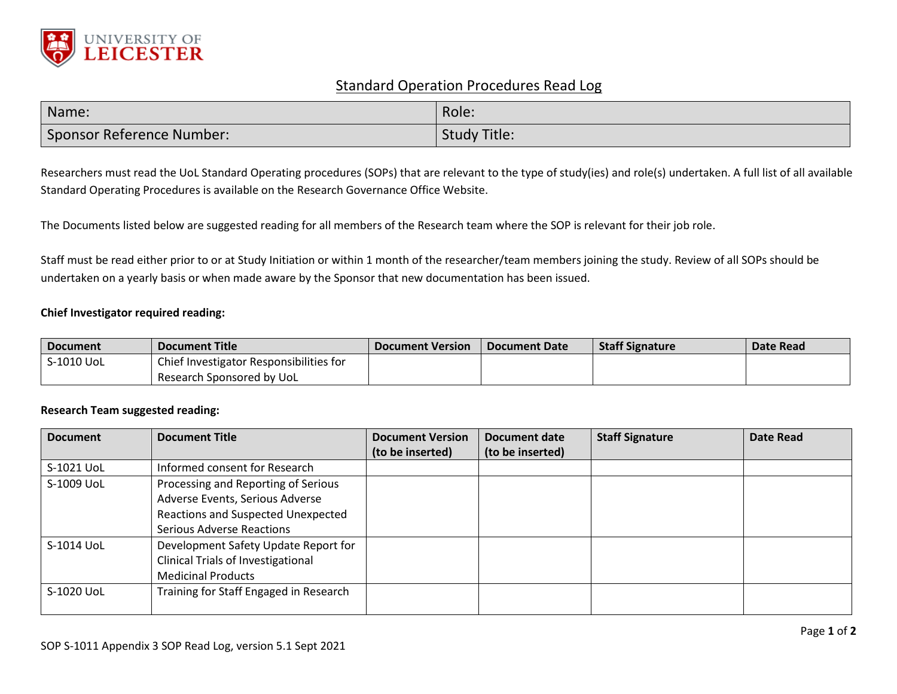

## Standard Operation Procedures Read Log

| Name:                     | Role:               |
|---------------------------|---------------------|
| Sponsor Reference Number: | <b>Study Title:</b> |

Researchers must read the UoL Standard Operating procedures (SOPs) that are relevant to the type of study(ies) and role(s) undertaken. A full list of all available Standard Operating Procedures is available on the Research Governance Office Website.

The Documents listed below are suggested reading for all members of the Research team where the SOP is relevant for their job role.

Staff must be read either prior to or at Study Initiation or within 1 month of the researcher/team members joining the study. Review of all SOPs should be undertaken on a yearly basis or when made aware by the Sponsor that new documentation has been issued.

## **Chief Investigator required reading:**

| <b>Document</b> | <b>Document Title</b>                   | <b>Document Version</b> | Document Date | <b>Staff Signature</b> | Date Read |
|-----------------|-----------------------------------------|-------------------------|---------------|------------------------|-----------|
| S-1010 UoL      | Chief Investigator Responsibilities for |                         |               |                        |           |
|                 | Research Sponsored by UoL               |                         |               |                        |           |

## **Research Team suggested reading:**

| <b>Document</b> | <b>Document Title</b>                     | <b>Document Version</b> | Document date    | <b>Staff Signature</b> | <b>Date Read</b> |
|-----------------|-------------------------------------------|-------------------------|------------------|------------------------|------------------|
|                 |                                           | (to be inserted)        | (to be inserted) |                        |                  |
| S-1021 UoL      | Informed consent for Research             |                         |                  |                        |                  |
| S-1009 UoL      | Processing and Reporting of Serious       |                         |                  |                        |                  |
|                 | Adverse Events, Serious Adverse           |                         |                  |                        |                  |
|                 | Reactions and Suspected Unexpected        |                         |                  |                        |                  |
|                 | <b>Serious Adverse Reactions</b>          |                         |                  |                        |                  |
| S-1014 UoL      | Development Safety Update Report for      |                         |                  |                        |                  |
|                 | <b>Clinical Trials of Investigational</b> |                         |                  |                        |                  |
|                 | <b>Medicinal Products</b>                 |                         |                  |                        |                  |
| S-1020 UoL      | Training for Staff Engaged in Research    |                         |                  |                        |                  |
|                 |                                           |                         |                  |                        |                  |